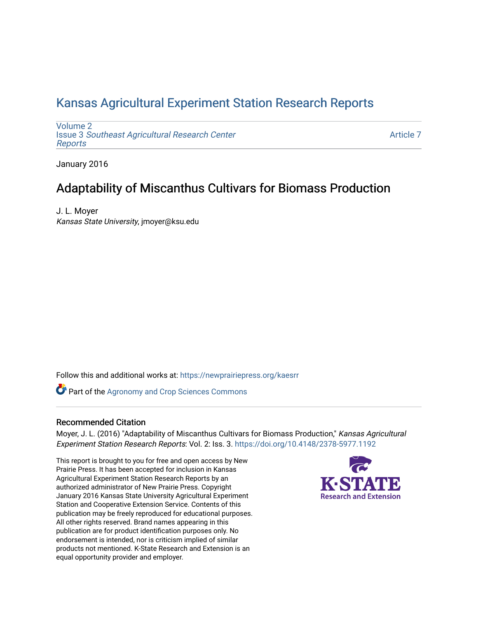# [Kansas Agricultural Experiment Station Research Reports](https://newprairiepress.org/kaesrr)

[Volume 2](https://newprairiepress.org/kaesrr/vol2) Issue 3 [Southeast Agricultural Research Center](https://newprairiepress.org/kaesrr/vol2/iss3) [Reports](https://newprairiepress.org/kaesrr/vol2/iss3)

[Article 7](https://newprairiepress.org/kaesrr/vol2/iss3/7) 

January 2016

# Adaptability of Miscanthus Cultivars for Biomass Production

J. L. Moyer Kansas State University, jmoyer@ksu.edu

Follow this and additional works at: [https://newprairiepress.org/kaesrr](https://newprairiepress.org/kaesrr?utm_source=newprairiepress.org%2Fkaesrr%2Fvol2%2Fiss3%2F7&utm_medium=PDF&utm_campaign=PDFCoverPages) 

Part of the [Agronomy and Crop Sciences Commons](http://network.bepress.com/hgg/discipline/103?utm_source=newprairiepress.org%2Fkaesrr%2Fvol2%2Fiss3%2F7&utm_medium=PDF&utm_campaign=PDFCoverPages) 

#### Recommended Citation

Moyer, J. L. (2016) "Adaptability of Miscanthus Cultivars for Biomass Production," Kansas Agricultural Experiment Station Research Reports: Vol. 2: Iss. 3. <https://doi.org/10.4148/2378-5977.1192>

This report is brought to you for free and open access by New Prairie Press. It has been accepted for inclusion in Kansas Agricultural Experiment Station Research Reports by an authorized administrator of New Prairie Press. Copyright January 2016 Kansas State University Agricultural Experiment Station and Cooperative Extension Service. Contents of this publication may be freely reproduced for educational purposes. All other rights reserved. Brand names appearing in this publication are for product identification purposes only. No endorsement is intended, nor is criticism implied of similar products not mentioned. K-State Research and Extension is an equal opportunity provider and employer.

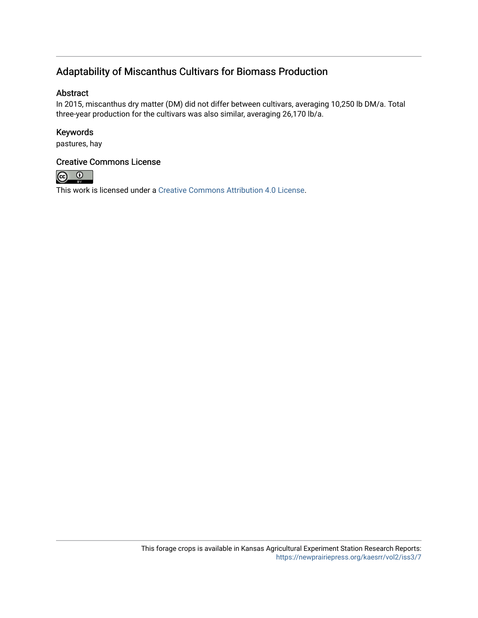### Adaptability of Miscanthus Cultivars for Biomass Production

### Abstract

In 2015, miscanthus dry matter (DM) did not differ between cultivars, averaging 10,250 lb DM/a. Total three-year production for the cultivars was also similar, averaging 26,170 lb/a.

### Keywords

pastures, hay

### Creative Commons License



This work is licensed under a [Creative Commons Attribution 4.0 License](https://creativecommons.org/licenses/by/4.0/).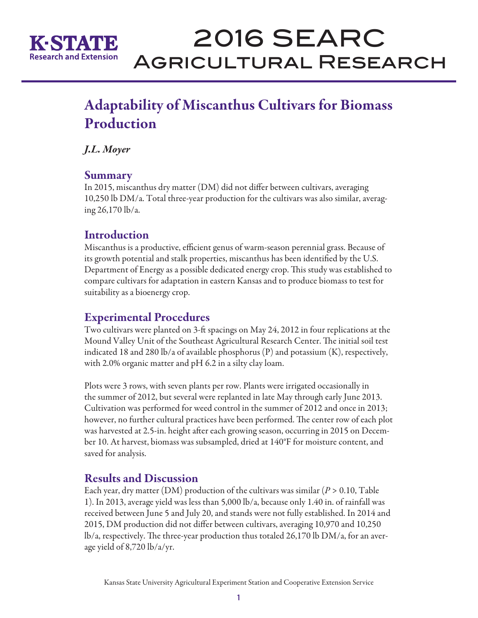

# 2016 SEARC Agricultural Research

# Adaptability of Miscanthus Cultivars for Biomass Production

*J.L. Moyer*

### **Summary**

In 2015, miscanthus dry matter (DM) did not differ between cultivars, averaging 10,250 lb DM/a. Total three-year production for the cultivars was also similar, averaging 26,170 lb/a.

### **Introduction**

Miscanthus is a productive, efficient genus of warm-season perennial grass. Because of its growth potential and stalk properties, miscanthus has been identified by the U.S. Department of Energy as a possible dedicated energy crop. This study was established to compare cultivars for adaptation in eastern Kansas and to produce biomass to test for suitability as a bioenergy crop.

# Experimental Procedures

Two cultivars were planted on 3-ft spacings on May 24, 2012 in four replications at the Mound Valley Unit of the Southeast Agricultural Research Center. The initial soil test indicated 18 and 280 lb/a of available phosphorus (P) and potassium (K), respectively, with 2.0% organic matter and pH 6.2 in a silty clay loam.

Plots were 3 rows, with seven plants per row. Plants were irrigated occasionally in the summer of 2012, but several were replanted in late May through early June 2013. Cultivation was performed for weed control in the summer of 2012 and once in 2013; however, no further cultural practices have been performed. The center row of each plot was harvested at 2.5-in. height after each growing season, occurring in 2015 on December 10. At harvest, biomass was subsampled, dried at 140°F for moisture content, and saved for analysis.

### Results and Discussion

Each year, dry matter (DM) production of the cultivars was similar (*P* > 0.10, Table 1). In 2013, average yield was less than 5,000 lb/a, because only 1.40 in. of rainfall was received between June 5 and July 20, and stands were not fully established. In 2014 and 2015, DM production did not differ between cultivars, averaging 10,970 and 10,250 lb/a, respectively. The three-year production thus totaled 26,170 lb DM/a, for an average yield of 8,720 lb/a/yr.